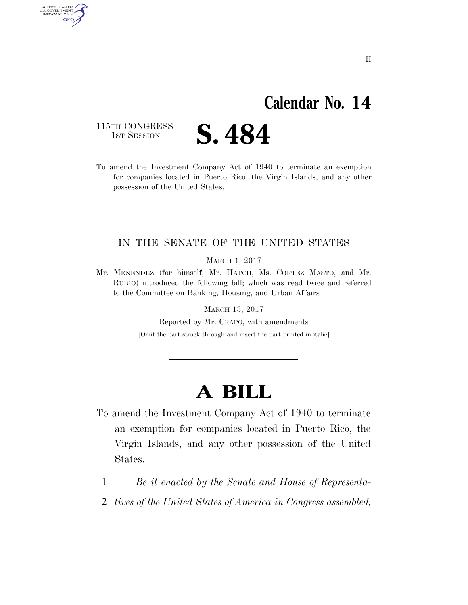### **Calendar No. 14**

115TH CONGRESS<br>1st Session

AUTHENTICATED U.S. GOVERNMENT GPO

S. 484

To amend the Investment Company Act of 1940 to terminate an exemption for companies located in Puerto Rico, the Virgin Islands, and any other possession of the United States.

#### IN THE SENATE OF THE UNITED STATES

MARCH 1, 2017

Mr. MENENDEZ (for himself, Mr. HATCH, Ms. CORTEZ MASTO, and Mr. RUBIO) introduced the following bill; which was read twice and referred to the Committee on Banking, Housing, and Urban Affairs

MARCH 13, 2017

Reported by Mr. CRAPO, with amendments

[Omit the part struck through and insert the part printed in italic]

## **A BILL**

- To amend the Investment Company Act of 1940 to terminate an exemption for companies located in Puerto Rico, the Virgin Islands, and any other possession of the United States.
	- 1 *Be it enacted by the Senate and House of Representa-*
	- 2 *tives of the United States of America in Congress assembled,*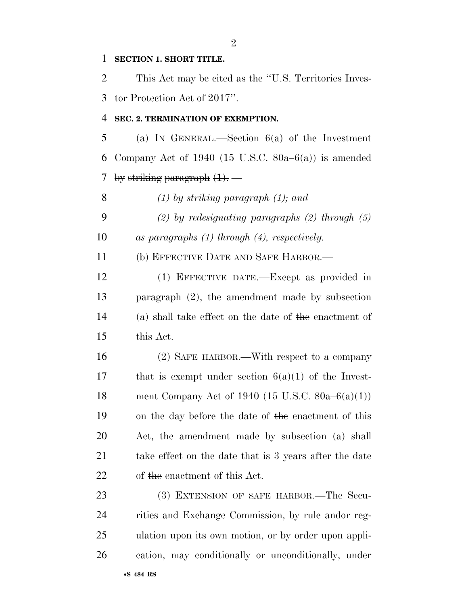#### **SECTION 1. SHORT TITLE.**

 This Act may be cited as the ''U.S. Territories Inves-tor Protection Act of 2017''.

#### **SEC. 2. TERMINATION OF EXEMPTION.**

 (a) IN GENERAL.—Section 6(a) of the Investment Company Act of 1940 (15 U.S.C. 80a–6(a)) is amended by striking paragraph (1). *—* 

*(1) by striking paragraph (1); and* 

 *(2) by redesignating paragraphs (2) through (5) as paragraphs (1) through (4), respectively.* 

(b) EFFECTIVE DATE AND SAFE HARBOR.—

 (1) EFFECTIVE DATE.—Except as provided in paragraph (2), the amendment made by subsection (a) shall take effect on the date of the enactment of this Act.

 (2) SAFE HARBOR.—With respect to a company 17 that is exempt under section  $6(a)(1)$  of the Invest- ment Company Act of 1940 (15 U.S.C. 80a–6(a)(1)) on the day before the date of the enactment of this Act, the amendment made by subsection (a) shall take effect on the date that is 3 years after the date of the enactment of this Act.

23 (3) EXTENSION OF SAFE HARBOR.—The Secu-24 rities and Exchange Commission, by rule and or reg- ulation upon its own motion, or by order upon appli-cation, may conditionally or unconditionally, under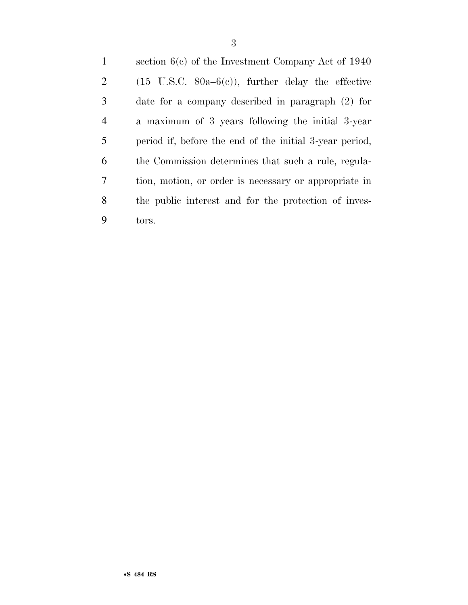section 6(c) of the Investment Company Act of 1940 2 (15 U.S.C. 80a–6(c)), further delay the effective date for a company described in paragraph (2) for a maximum of 3 years following the initial 3-year period if, before the end of the initial 3-year period, the Commission determines that such a rule, regula- tion, motion, or order is necessary or appropriate in the public interest and for the protection of inves-tors.